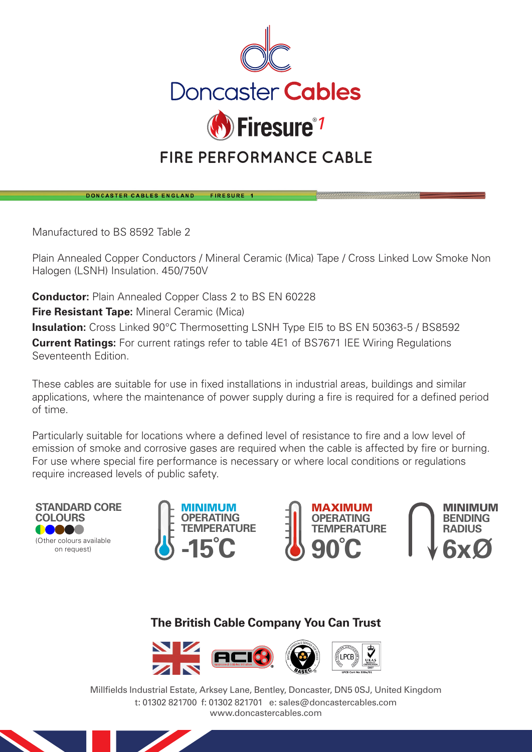

## **FIRE PERFORMANCE CABLE**

DONCASTER CABLES ENGLAND FIRESURE 1

Manufactured to BS 8592 Table 2

Plain Annealed Copper Conductors / Mineral Ceramic (Mica) Tape / Cross Linked Low Smoke Non Halogen (LSNH) Insulation. 450/750V

**Conductor:** Plain Annealed Copper Class 2 to BS EN 60228

**Fire Resistant Tape:** Mineral Ceramic (Mica)

**Insulation:** Cross Linked 90°C Thermosetting LSNH Type EI5 to BS EN 50363-5 / BS8592 **Current Ratings:** For current ratings refer to table 4E1 of BS7671 IEE Wiring Regulations Seventeenth Edition.

These cables are suitable for use in fixed installations in industrial areas, buildings and similar applications, where the maintenance of power supply during a fire is required for a defined period of time.

Particularly suitable for locations where a defined level of resistance to fire and a low level of emission of smoke and corrosive gases are required when the cable is affected by fire or burning. For use where special fire performance is necessary or where local conditions or regulations require increased levels of public safety.









## **The British Cable Company You Can Trust**



Millfields Industrial Estate, Arksey Lane, Bentley, Doncaster, DN5 0SJ, United Kingdom t: 01302 821700 f: 01302 821701 e: sales@doncastercables.com www.doncastercables.com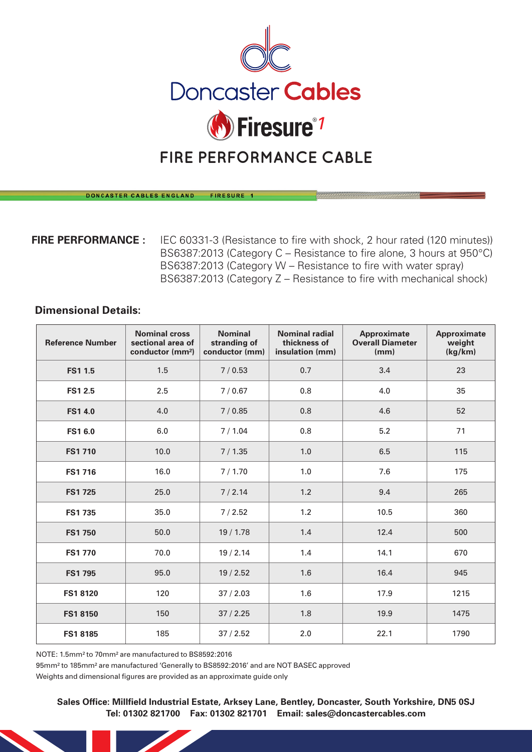

## **FIRE PERFORMANCE CABLE**

DONCASTER CABLES ENGLAND FIRESURE 1

**FIRE PERFORMANCE :** IEC 60331-3 (Resistance to fire with shock, 2 hour rated (120 minutes)) BS6387:2013 (Category C – Resistance to fire alone, 3 hours at 950°C) BS6387:2013 (Category W – Resistance to fire with water spray) BS6387:2013 (Category Z – Resistance to fire with mechanical shock)

## **Dimensional Details:**

| <b>Reference Number</b> | <b>Nominal cross</b><br>sectional area of<br>conductor (mm <sup>2</sup> ) | <b>Nominal</b><br>stranding of<br>conductor (mm) | <b>Nominal radial</b><br>thickness of<br>insulation (mm) | Approximate<br><b>Overall Diameter</b><br>(mm) | Approximate<br>weight<br>(kg/km) |
|-------------------------|---------------------------------------------------------------------------|--------------------------------------------------|----------------------------------------------------------|------------------------------------------------|----------------------------------|
| <b>FS11.5</b>           | 1.5                                                                       | 7/0.53                                           | 0.7                                                      | 3.4                                            | 23                               |
| <b>FS12.5</b>           | 2.5                                                                       | 7/0.67                                           | 0.8                                                      | 4.0                                            | 35                               |
| <b>FS14.0</b>           | 4.0                                                                       | 7/0.85                                           | 0.8                                                      | 4.6                                            | 52                               |
| <b>FS16.0</b>           | 6.0                                                                       | 7/1.04                                           | 0.8                                                      | 5.2                                            | 71                               |
| <b>FS1710</b>           | 10.0                                                                      | 7/1.35                                           | 1.0                                                      | 6.5                                            | 115                              |
| <b>FS1716</b>           | 16.0                                                                      | 7/1.70                                           | 1.0                                                      | 7.6                                            | 175                              |
| <b>FS1725</b>           | 25.0                                                                      | 7/2.14                                           | 1.2                                                      | 9.4                                            | 265                              |
| <b>FS1735</b>           | 35.0                                                                      | 7/2.52                                           | 1.2                                                      | 10.5                                           | 360                              |
| <b>FS1 750</b>          | 50.0                                                                      | 19/1.78                                          | 1.4                                                      | 12.4                                           | 500                              |
| <b>FS1770</b>           | 70.0                                                                      | 19/2.14                                          | 1.4                                                      | 14.1                                           | 670                              |
| <b>FS1795</b>           | 95.0                                                                      | 19/2.52                                          | 1.6                                                      | 16.4                                           | 945                              |
| <b>FS18120</b>          | 120                                                                       | 37/2.03                                          | 1.6                                                      | 17.9                                           | 1215                             |
| <b>FS18150</b>          | 150                                                                       | 37/2.25                                          | 1.8                                                      | 19.9                                           | 1475                             |
| <b>FS18185</b>          | 185                                                                       | 37/2.52                                          | 2.0                                                      | 22.1                                           | 1790                             |

NOTE: 1.5mm² to 70mm² are manufactured to BS8592:2016

95mm² to 185mm² are manufactured 'Generally to BS8592:2016' and are NOT BASEC approved

Weights and dimensional figures are provided as an approximate guide only

**Sales Office: Millfield Industrial Estate, Arksey Lane, Bentley, Doncaster, South Yorkshire, DN5 0SJ Tel: 01302 821700 Fax: 01302 821701 Email: sales@doncastercables.com**